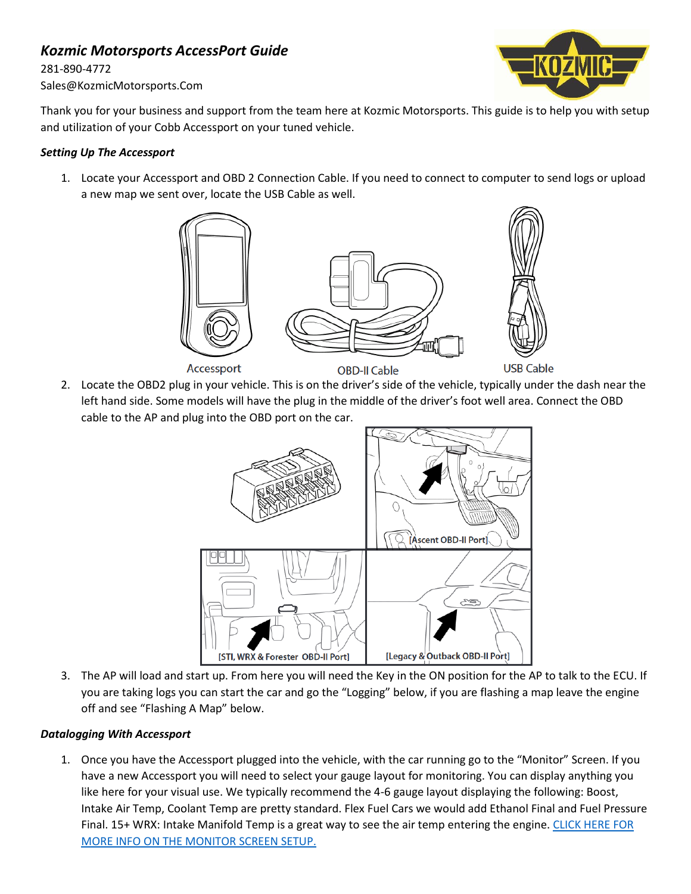# *Kozmic Motorsports AccessPort Guide*

281-890-4772 Sales@KozmicMotorsports.Com



Thank you for your business and support from the team here at Kozmic Motorsports. This guide is to help you with setup and utilization of your Cobb Accessport on your tuned vehicle.

### *Setting Up The Accessport*

1. Locate your Accessport and OBD 2 Connection Cable. If you need to connect to computer to send logs or upload a new map we sent over, locate the USB Cable as well.



2. Locate the OBD2 plug in your vehicle. This is on the driver's side of the vehicle, typically under the dash near the left hand side. Some models will have the plug in the middle of the driver's foot well area. Connect the OBD cable to the AP and plug into the OBD port on the car.



3. The AP will load and start up. From here you will need the Key in the ON position for the AP to talk to the ECU. If you are taking logs you can start the car and go the "Logging" below, if you are flashing a map leave the engine off and see "Flashing A Map" below.

# *Datalogging With Accessport*

1. Once you have the Accessport plugged into the vehicle, with the car running go to the "Monitor" Screen. If you have a new Accessport you will need to select your gauge layout for monitoring. You can display anything you like here for your visual use. We typically recommend the 4-6 gauge layout displaying the following: Boost, Intake Air Temp, Coolant Temp are pretty standard. Flex Fuel Cars we would add Ethanol Final and Fuel Pressure Final. 15+ WRX: Intake Manifold Temp is a great way to see the air temp entering the engine. CLICK HERE FOR [MORE INFO ON THE MONITOR SCREEN SETUP.](https://cobbtuning.atlassian.net/wiki/spaces/PRS/pages/96579335/V3+Accessport+Subaru+User+Manual#V3AccessportSubaruUserManual-Gauges)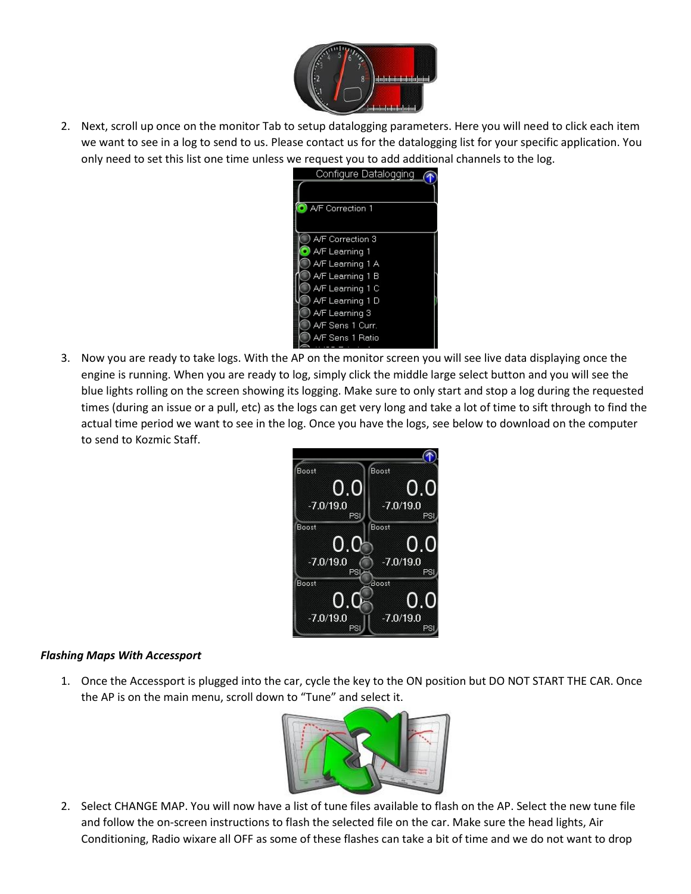

2. Next, scroll up once on the monitor Tab to setup datalogging parameters. Here you will need to click each item we want to see in a log to send to us. Please contact us for the datalogging list for your specific application. You only need to set this list one time unless we request you to add additional channels to the log.

| Configure Datalogging |  |
|-----------------------|--|
|                       |  |
| A/F Correction 1      |  |
| A/F Correction 3      |  |
| A/F Learning 1        |  |
| A/F Learning 1 A      |  |
| A/F Learning 1 B      |  |
| A/F Learning 1 C      |  |
| A/F Learning 1 D      |  |
| A/F Learning 3        |  |
| A/F Sens 1 Curr.      |  |
| A/F Sens 1 Ratio      |  |
|                       |  |

3. Now you are ready to take logs. With the AP on the monitor screen you will see live data displaying once the engine is running. When you are ready to log, simply click the middle large select button and you will see the blue lights rolling on the screen showing its logging. Make sure to only start and stop a log during the requested times (during an issue or a pull, etc) as the logs can get very long and take a lot of time to sift through to find the actual time period we want to see in the log. Once you have the logs, see below to download on the computer to send to Kozmic Staff.



# *Flashing Maps With Accessport*

1. Once the Accessport is plugged into the car, cycle the key to the ON position but DO NOT START THE CAR. Once the AP is on the main menu, scroll down to "Tune" and select it.



2. Select CHANGE MAP. You will now have a list of tune files available to flash on the AP. Select the new tune file and follow the on-screen instructions to flash the selected file on the car. Make sure the head lights, Air Conditioning, Radio wixare all OFF as some of these flashes can take a bit of time and we do not want to drop